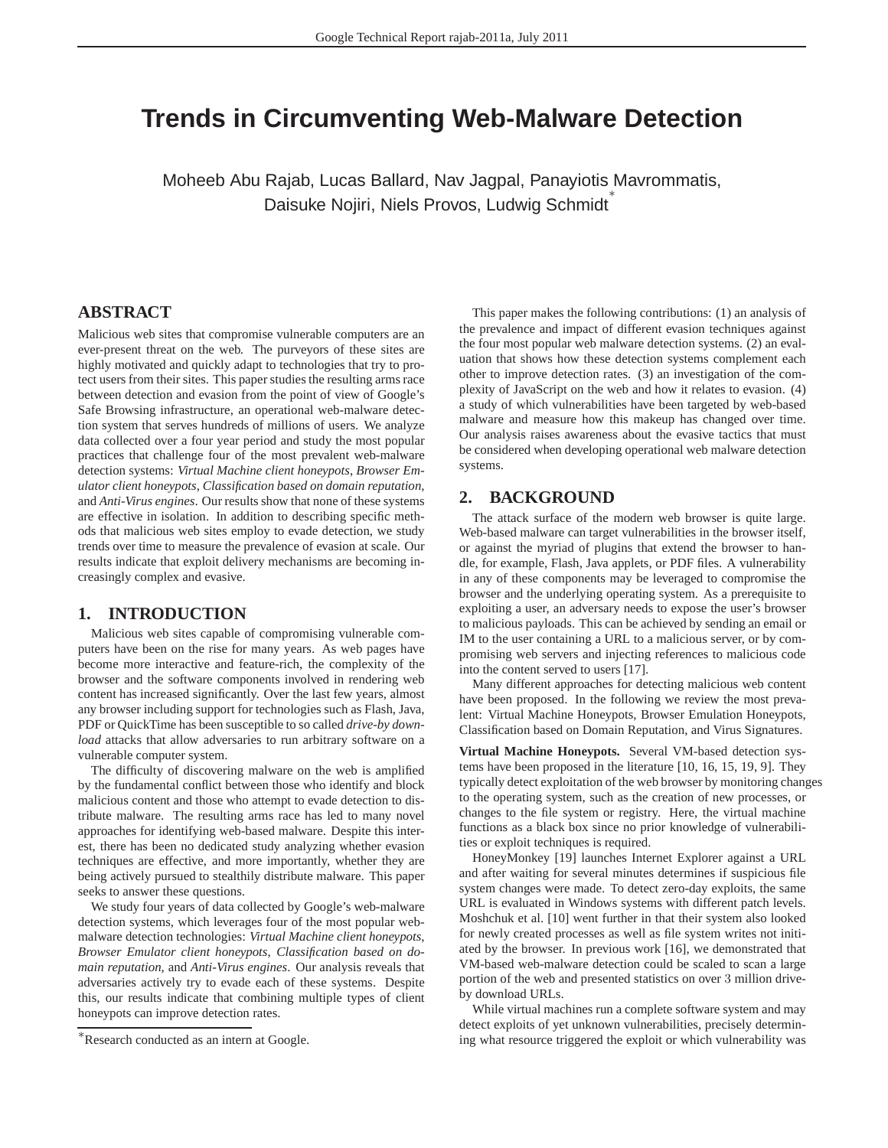# **Trends in Circumventing Web-Malware Detection**

Moheeb Abu Rajab, Lucas Ballard, Nav Jagpal, Panayiotis Mavrommatis, Daisuke Nojiri, Niels Provos, Ludwig Schmidt

## **ABSTRACT**

Malicious web sites that compromise vulnerable computers are an ever-present threat on the web. The purveyors of these sites are highly motivated and quickly adapt to technologies that try to protect users from their sites. This paper studies the resulting arms race between detection and evasion from the point of view of Google's Safe Browsing infrastructure, an operational web-malware detection system that serves hundreds of millions of users. We analyze data collected over a four year period and study the most popular practices that challenge four of the most prevalent web-malware detection systems: *Virtual Machine client honeypots*, *Browser Emulator client honeypots*, *Classification based on domain reputation*, and *Anti-Virus engines*. Our results show that none of these systems are effective in isolation. In addition to describing specific methods that malicious web sites employ to evade detection, we study trends over time to measure the prevalence of evasion at scale. Our results indicate that exploit delivery mechanisms are becoming increasingly complex and evasive.

#### **1. INTRODUCTION**

Malicious web sites capable of compromising vulnerable computers have been on the rise for many years. As web pages have become more interactive and feature-rich, the complexity of the browser and the software components involved in rendering web content has increased significantly. Over the last few years, almost any browser including support for technologies such as Flash, Java, PDF or QuickTime has been susceptible to so called *drive-by download* attacks that allow adversaries to run arbitrary software on a vulnerable computer system.

The difficulty of discovering malware on the web is amplified by the fundamental conflict between those who identify and block malicious content and those who attempt to evade detection to distribute malware. The resulting arms race has led to many novel approaches for identifying web-based malware. Despite this interest, there has been no dedicated study analyzing whether evasion techniques are effective, and more importantly, whether they are being actively pursued to stealthily distribute malware. This paper seeks to answer these questions.

We study four years of data collected by Google's web-malware detection systems, which leverages four of the most popular webmalware detection technologies: *Virtual Machine client honeypots*, *Browser Emulator client honeypots*, *Classification based on domain reputation*, and *Anti-Virus engines*. Our analysis reveals that adversaries actively try to evade each of these systems. Despite this, our results indicate that combining multiple types of client honeypots can improve detection rates.

This paper makes the following contributions: (1) an analysis of the prevalence and impact of different evasion techniques against the four most popular web malware detection systems. (2) an evaluation that shows how these detection systems complement each other to improve detection rates. (3) an investigation of the complexity of JavaScript on the web and how it relates to evasion. (4) a study of which vulnerabilities have been targeted by web-based malware and measure how this makeup has changed over time. Our analysis raises awareness about the evasive tactics that must be considered when developing operational web malware detection systems.

## **2. BACKGROUND**

The attack surface of the modern web browser is quite large. Web-based malware can target vulnerabilities in the browser itself, or against the myriad of plugins that extend the browser to handle, for example, Flash, Java applets, or PDF files. A vulnerability in any of these components may be leveraged to compromise the browser and the underlying operating system. As a prerequisite to exploiting a user, an adversary needs to expose the user's browser to malicious payloads. This can be achieved by sending an email or IM to the user containing a URL to a malicious server, or by compromising web servers and injecting references to malicious code into the content served to users [17].

Many different approaches for detecting malicious web content have been proposed. In the following we review the most prevalent: Virtual Machine Honeypots, Browser Emulation Honeypots, Classification based on Domain Reputation, and Virus Signatures.

**Virtual Machine Honeypots.** Several VM-based detection systems have been proposed in the literature [10, 16, 15, 19, 9]. They typically detect exploitation of the web browser by monitoring changes to the operating system, such as the creation of new processes, or changes to the file system or registry. Here, the virtual machine functions as a black box since no prior knowledge of vulnerabilities or exploit techniques is required.

HoneyMonkey [19] launches Internet Explorer against a URL and after waiting for several minutes determines if suspicious file system changes were made. To detect zero-day exploits, the same URL is evaluated in Windows systems with different patch levels. Moshchuk et al. [10] went further in that their system also looked for newly created processes as well as file system writes not initiated by the browser. In previous work [16], we demonstrated that VM-based web-malware detection could be scaled to scan a large portion of the web and presented statistics on over 3 million driveby download URLs.

While virtual machines run a complete software system and may detect exploits of yet unknown vulnerabilities, precisely determining what resource triggered the exploit or which vulnerability was

<sup>∗</sup>Research conducted as an intern at Google.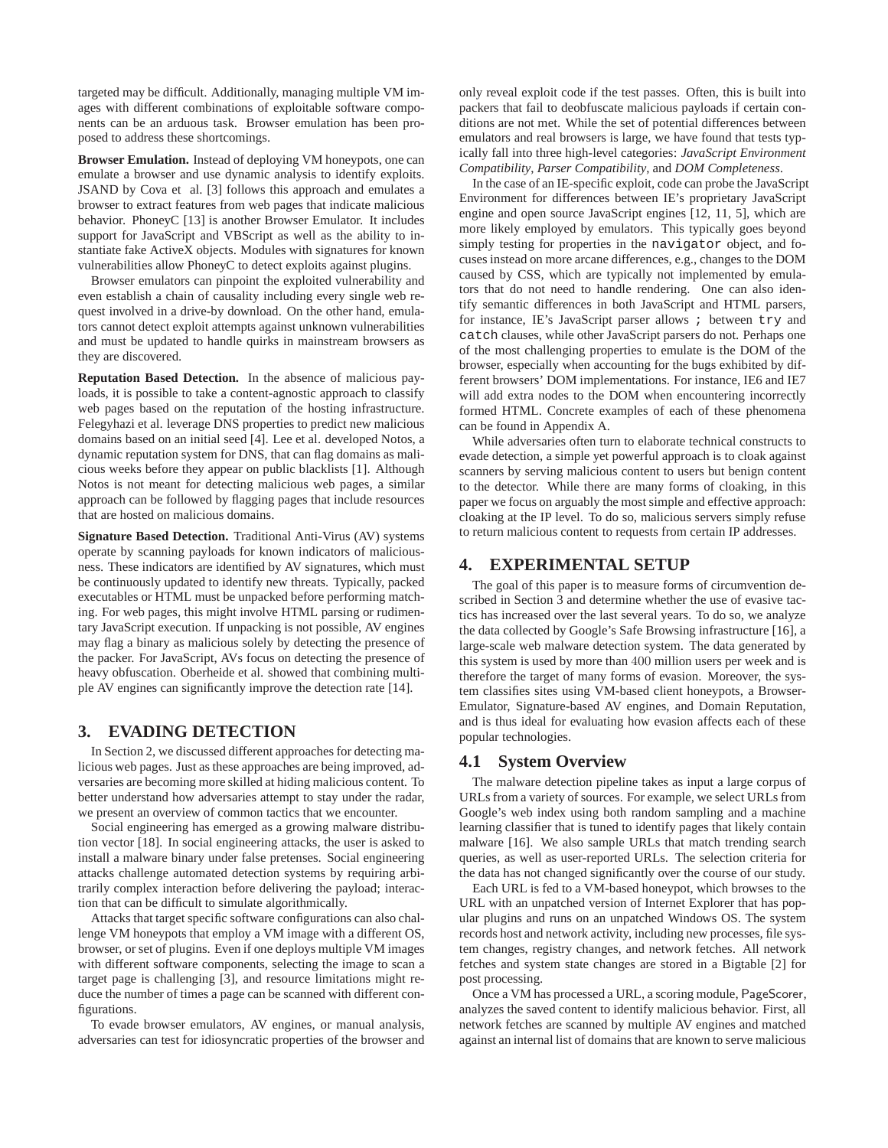targeted may be difficult. Additionally, managing multiple VM images with different combinations of exploitable software components can be an arduous task. Browser emulation has been proposed to address these shortcomings.

**Browser Emulation.** Instead of deploying VM honeypots, one can emulate a browser and use dynamic analysis to identify exploits. JSAND by Cova et al. [3] follows this approach and emulates a browser to extract features from web pages that indicate malicious behavior. PhoneyC [13] is another Browser Emulator. It includes support for JavaScript and VBScript as well as the ability to instantiate fake ActiveX objects. Modules with signatures for known vulnerabilities allow PhoneyC to detect exploits against plugins.

Browser emulators can pinpoint the exploited vulnerability and even establish a chain of causality including every single web request involved in a drive-by download. On the other hand, emulators cannot detect exploit attempts against unknown vulnerabilities and must be updated to handle quirks in mainstream browsers as they are discovered.

**Reputation Based Detection.** In the absence of malicious payloads, it is possible to take a content-agnostic approach to classify web pages based on the reputation of the hosting infrastructure. Felegyhazi et al. leverage DNS properties to predict new malicious domains based on an initial seed [4]. Lee et al. developed Notos, a dynamic reputation system for DNS, that can flag domains as malicious weeks before they appear on public blacklists [1]. Although Notos is not meant for detecting malicious web pages, a similar approach can be followed by flagging pages that include resources that are hosted on malicious domains.

**Signature Based Detection.** Traditional Anti-Virus (AV) systems operate by scanning payloads for known indicators of maliciousness. These indicators are identified by AV signatures, which must be continuously updated to identify new threats. Typically, packed executables or HTML must be unpacked before performing matching. For web pages, this might involve HTML parsing or rudimentary JavaScript execution. If unpacking is not possible, AV engines may flag a binary as malicious solely by detecting the presence of the packer. For JavaScript, AVs focus on detecting the presence of heavy obfuscation. Oberheide et al. showed that combining multiple AV engines can significantly improve the detection rate [14].

#### **3. EVADING DETECTION**

In Section 2, we discussed different approaches for detecting malicious web pages. Just as these approaches are being improved, adversaries are becoming more skilled at hiding malicious content. To better understand how adversaries attempt to stay under the radar, we present an overview of common tactics that we encounter.

Social engineering has emerged as a growing malware distribution vector [18]. In social engineering attacks, the user is asked to install a malware binary under false pretenses. Social engineering attacks challenge automated detection systems by requiring arbitrarily complex interaction before delivering the payload; interaction that can be difficult to simulate algorithmically.

Attacks that target specific software configurations can also challenge VM honeypots that employ a VM image with a different OS, browser, or set of plugins. Even if one deploys multiple VM images with different software components, selecting the image to scan a target page is challenging [3], and resource limitations might reduce the number of times a page can be scanned with different configurations.

To evade browser emulators, AV engines, or manual analysis, adversaries can test for idiosyncratic properties of the browser and only reveal exploit code if the test passes. Often, this is built into packers that fail to deobfuscate malicious payloads if certain conditions are not met. While the set of potential differences between emulators and real browsers is large, we have found that tests typically fall into three high-level categories: *JavaScript Environment Compatibility*, *Parser Compatibility*, and *DOM Completeness*.

In the case of an IE-specific exploit, code can probe the JavaScript Environment for differences between IE's proprietary JavaScript engine and open source JavaScript engines [12, 11, 5], which are more likely employed by emulators. This typically goes beyond simply testing for properties in the navigator object, and focuses instead on more arcane differences, e.g., changes to the DOM caused by CSS, which are typically not implemented by emulators that do not need to handle rendering. One can also identify semantic differences in both JavaScript and HTML parsers, for instance, IE's JavaScript parser allows ; between try and catch clauses, while other JavaScript parsers do not. Perhaps one of the most challenging properties to emulate is the DOM of the browser, especially when accounting for the bugs exhibited by different browsers' DOM implementations. For instance, IE6 and IE7 will add extra nodes to the DOM when encountering incorrectly formed HTML. Concrete examples of each of these phenomena can be found in Appendix A.

While adversaries often turn to elaborate technical constructs to evade detection, a simple yet powerful approach is to cloak against scanners by serving malicious content to users but benign content to the detector. While there are many forms of cloaking, in this paper we focus on arguably the most simple and effective approach: cloaking at the IP level. To do so, malicious servers simply refuse to return malicious content to requests from certain IP addresses.

## **4. EXPERIMENTAL SETUP**

The goal of this paper is to measure forms of circumvention described in Section 3 and determine whether the use of evasive tactics has increased over the last several years. To do so, we analyze the data collected by Google's Safe Browsing infrastructure [16], a large-scale web malware detection system. The data generated by this system is used by more than 400 million users per week and is therefore the target of many forms of evasion. Moreover, the system classifies sites using VM-based client honeypots, a Browser-Emulator, Signature-based AV engines, and Domain Reputation, and is thus ideal for evaluating how evasion affects each of these popular technologies.

#### **4.1 System Overview**

The malware detection pipeline takes as input a large corpus of URLs from a variety of sources. For example, we select URLs from Google's web index using both random sampling and a machine learning classifier that is tuned to identify pages that likely contain malware [16]. We also sample URLs that match trending search queries, as well as user-reported URLs. The selection criteria for the data has not changed significantly over the course of our study.

Each URL is fed to a VM-based honeypot, which browses to the URL with an unpatched version of Internet Explorer that has popular plugins and runs on an unpatched Windows OS. The system records host and network activity, including new processes, file system changes, registry changes, and network fetches. All network fetches and system state changes are stored in a Bigtable [2] for post processing.

Once a VM has processed a URL, a scoring module, PageScorer, analyzes the saved content to identify malicious behavior. First, all network fetches are scanned by multiple AV engines and matched against an internal list of domains that are known to serve malicious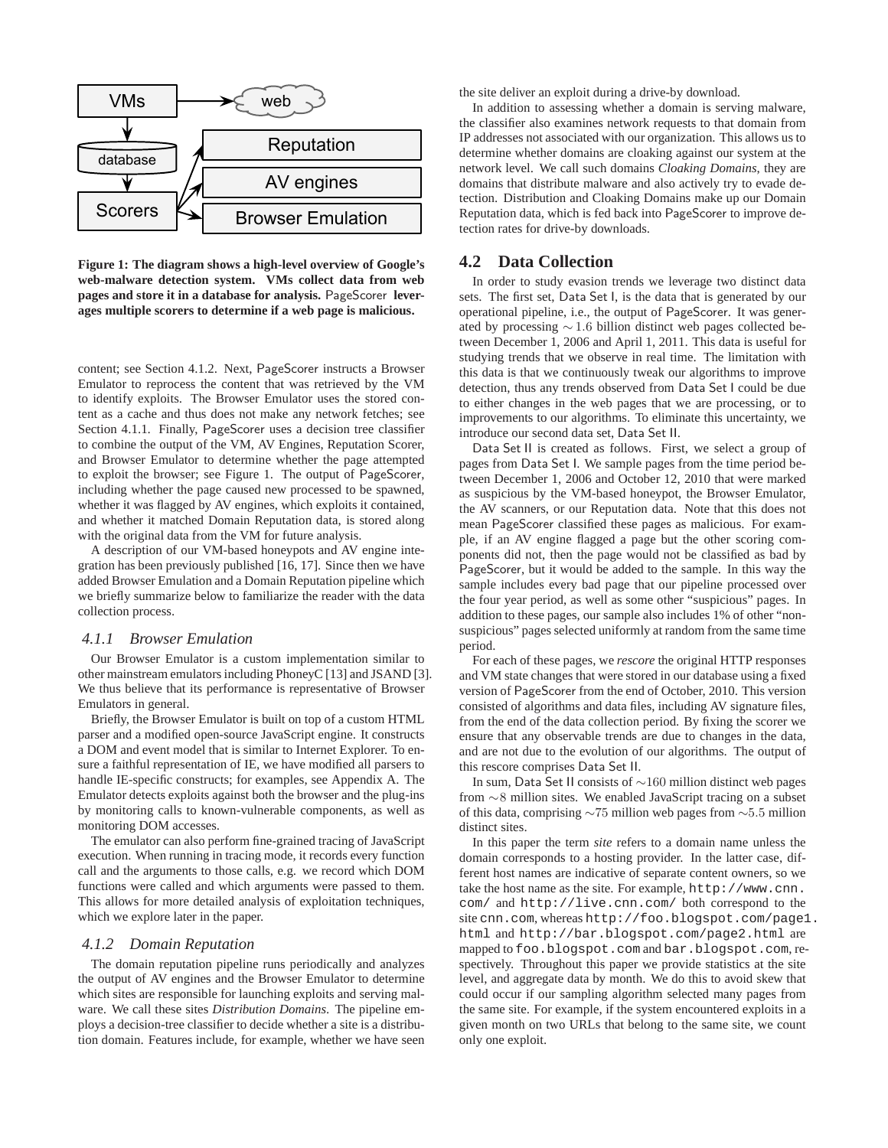

**Figure 1: The diagram shows a high-level overview of Google's web-malware detection system. VMs collect data from web pages and store it in a database for analysis.** PageScorer **leverages multiple scorers to determine if a web page is malicious.**

content; see Section 4.1.2. Next, PageScorer instructs a Browser Emulator to reprocess the content that was retrieved by the VM to identify exploits. The Browser Emulator uses the stored content as a cache and thus does not make any network fetches; see Section 4.1.1. Finally, PageScorer uses a decision tree classifier to combine the output of the VM, AV Engines, Reputation Scorer, and Browser Emulator to determine whether the page attempted to exploit the browser; see Figure 1. The output of PageScorer, including whether the page caused new processed to be spawned, whether it was flagged by AV engines, which exploits it contained, and whether it matched Domain Reputation data, is stored along with the original data from the VM for future analysis.

A description of our VM-based honeypots and AV engine integration has been previously published [16, 17]. Since then we have added Browser Emulation and a Domain Reputation pipeline which we briefly summarize below to familiarize the reader with the data collection process.

#### *4.1.1 Browser Emulation*

Our Browser Emulator is a custom implementation similar to other mainstream emulators including PhoneyC [13] and JSAND [3]. We thus believe that its performance is representative of Browser Emulators in general.

Briefly, the Browser Emulator is built on top of a custom HTML parser and a modified open-source JavaScript engine. It constructs a DOM and event model that is similar to Internet Explorer. To ensure a faithful representation of IE, we have modified all parsers to handle IE-specific constructs; for examples, see Appendix A. The Emulator detects exploits against both the browser and the plug-ins by monitoring calls to known-vulnerable components, as well as monitoring DOM accesses.

The emulator can also perform fine-grained tracing of JavaScript execution. When running in tracing mode, it records every function call and the arguments to those calls, e.g. we record which DOM functions were called and which arguments were passed to them. This allows for more detailed analysis of exploitation techniques, which we explore later in the paper.

#### *4.1.2 Domain Reputation*

The domain reputation pipeline runs periodically and analyzes the output of AV engines and the Browser Emulator to determine which sites are responsible for launching exploits and serving malware. We call these sites *Distribution Domains*. The pipeline employs a decision-tree classifier to decide whether a site is a distribution domain. Features include, for example, whether we have seen the site deliver an exploit during a drive-by download.

In addition to assessing whether a domain is serving malware, the classifier also examines network requests to that domain from IP addresses not associated with our organization. This allows us to determine whether domains are cloaking against our system at the network level. We call such domains *Cloaking Domains*, they are domains that distribute malware and also actively try to evade detection. Distribution and Cloaking Domains make up our Domain Reputation data, which is fed back into PageScorer to improve detection rates for drive-by downloads.

#### **4.2 Data Collection**

In order to study evasion trends we leverage two distinct data sets. The first set, Data Set I, is the data that is generated by our operational pipeline, i.e., the output of PageScorer. It was generated by processing <sup>∼</sup> <sup>1</sup>.<sup>6</sup> billion distinct web pages collected between December 1, 2006 and April 1, 2011. This data is useful for studying trends that we observe in real time. The limitation with this data is that we continuously tweak our algorithms to improve detection, thus any trends observed from Data Set I could be due to either changes in the web pages that we are processing, or to improvements to our algorithms. To eliminate this uncertainty, we introduce our second data set, Data Set II.

Data Set II is created as follows. First, we select a group of pages from Data Set I. We sample pages from the time period between December 1, 2006 and October 12, 2010 that were marked as suspicious by the VM-based honeypot, the Browser Emulator, the AV scanners, or our Reputation data. Note that this does not mean PageScorer classified these pages as malicious. For example, if an AV engine flagged a page but the other scoring components did not, then the page would not be classified as bad by PageScorer, but it would be added to the sample. In this way the sample includes every bad page that our pipeline processed over the four year period, as well as some other "suspicious" pages. In addition to these pages, our sample also includes 1% of other "nonsuspicious" pages selected uniformly at random from the same time period.

For each of these pages, we *rescore* the original HTTP responses and VM state changes that were stored in our database using a fixed version of PageScorer from the end of October, 2010. This version consisted of algorithms and data files, including AV signature files, from the end of the data collection period. By fixing the scorer we ensure that any observable trends are due to changes in the data, and are not due to the evolution of our algorithms. The output of this rescore comprises Data Set II.

In sum, Data Set II consists of ∼160 million distinct web pages from ∼8 million sites. We enabled JavaScript tracing on a subset of this data, comprising <sup>∼</sup><sup>75</sup> million web pages from <sup>∼</sup>5.<sup>5</sup> million distinct sites.

In this paper the term *site* refers to a domain name unless the domain corresponds to a hosting provider. In the latter case, different host names are indicative of separate content owners, so we take the host name as the site. For example, http://www.cnn. com/ and http://live.cnn.com/ both correspond to the site cnn.com, whereas http://foo.blogspot.com/page1. html and http://bar.blogspot.com/page2.html are mapped to foo.blogspot.com and bar.blogspot.com, respectively. Throughout this paper we provide statistics at the site level, and aggregate data by month. We do this to avoid skew that could occur if our sampling algorithm selected many pages from the same site. For example, if the system encountered exploits in a given month on two URLs that belong to the same site, we count only one exploit.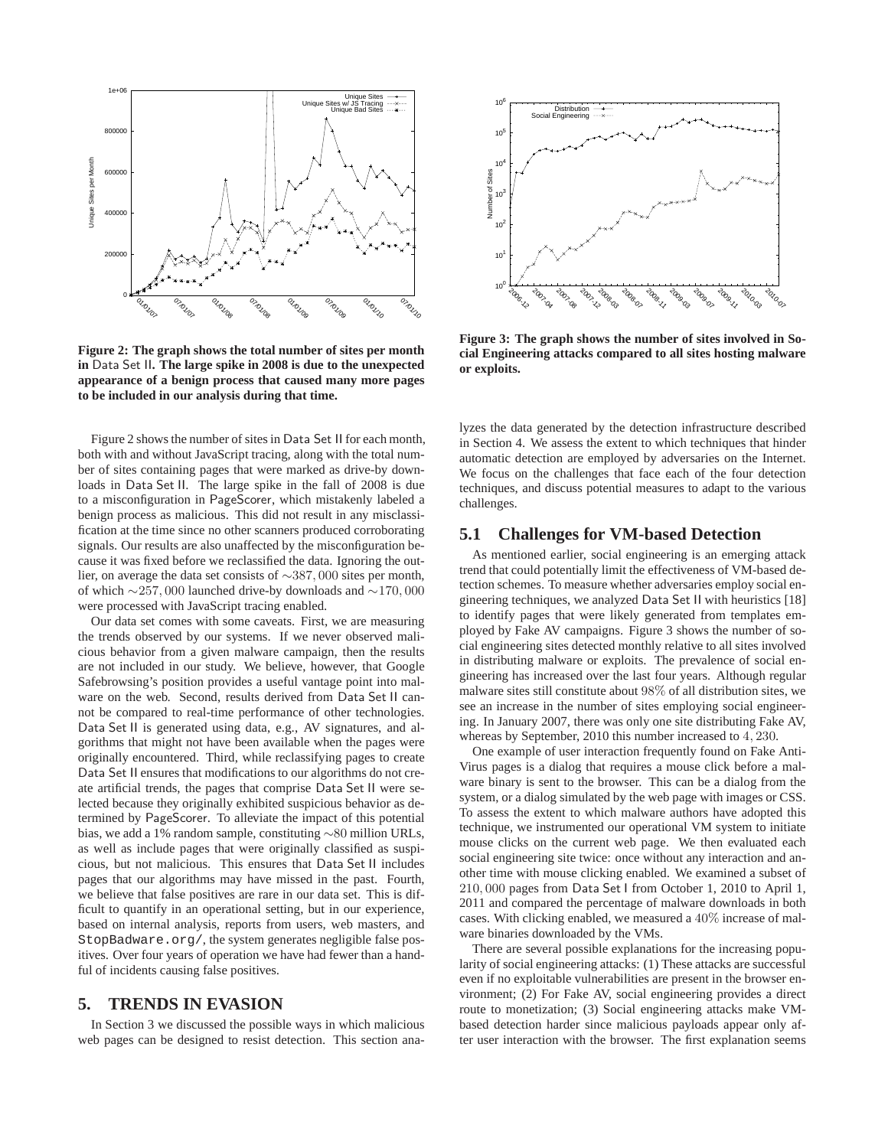

**Figure 2: The graph shows the total number of sites per month in** Data Set II**. The large spike in 2008 is due to the unexpected appearance of a benign process that caused many more pages to be included in our analysis during that time.**

Figure 2 shows the number of sites in Data Set II for each month, both with and without JavaScript tracing, along with the total number of sites containing pages that were marked as drive-by downloads in Data Set II. The large spike in the fall of 2008 is due to a misconfiguration in PageScorer, which mistakenly labeled a benign process as malicious. This did not result in any misclassification at the time since no other scanners produced corroborating signals. Our results are also unaffected by the misconfiguration because it was fixed before we reclassified the data. Ignoring the outlier, on average the data set consists of <sup>∼</sup>387, <sup>000</sup> sites per month, of which <sup>∼</sup>257, <sup>000</sup> launched drive-by downloads and <sup>∼</sup>170, <sup>000</sup> were processed with JavaScript tracing enabled.

Our data set comes with some caveats. First, we are measuring the trends observed by our systems. If we never observed malicious behavior from a given malware campaign, then the results are not included in our study. We believe, however, that Google Safebrowsing's position provides a useful vantage point into malware on the web. Second, results derived from Data Set II cannot be compared to real-time performance of other technologies. Data Set II is generated using data, e.g., AV signatures, and algorithms that might not have been available when the pages were originally encountered. Third, while reclassifying pages to create Data Set II ensures that modifications to our algorithms do not create artificial trends, the pages that comprise Data Set II were selected because they originally exhibited suspicious behavior as determined by PageScorer. To alleviate the impact of this potential bias, we add a 1% random sample, constituting ∼80 million URLs, as well as include pages that were originally classified as suspicious, but not malicious. This ensures that Data Set II includes pages that our algorithms may have missed in the past. Fourth, we believe that false positives are rare in our data set. This is difficult to quantify in an operational setting, but in our experience, based on internal analysis, reports from users, web masters, and StopBadware.org/, the system generates negligible false positives. Over four years of operation we have had fewer than a handful of incidents causing false positives.

## **5. TRENDS IN EVASION**

In Section 3 we discussed the possible ways in which malicious web pages can be designed to resist detection. This section ana-



**Figure 3: The graph shows the number of sites involved in Social Engineering attacks compared to all sites hosting malware or exploits.**

lyzes the data generated by the detection infrastructure described in Section 4. We assess the extent to which techniques that hinder automatic detection are employed by adversaries on the Internet. We focus on the challenges that face each of the four detection techniques, and discuss potential measures to adapt to the various challenges.

#### **5.1 Challenges for VM-based Detection**

As mentioned earlier, social engineering is an emerging attack trend that could potentially limit the effectiveness of VM-based detection schemes. To measure whether adversaries employ social engineering techniques, we analyzed Data Set II with heuristics [18] to identify pages that were likely generated from templates employed by Fake AV campaigns. Figure 3 shows the number of social engineering sites detected monthly relative to all sites involved in distributing malware or exploits. The prevalence of social engineering has increased over the last four years. Although regular malware sites still constitute about 98% of all distribution sites, we see an increase in the number of sites employing social engineering. In January 2007, there was only one site distributing Fake AV, whereas by September, 2010 this number increased to <sup>4</sup>, <sup>230</sup>.

One example of user interaction frequently found on Fake Anti-Virus pages is a dialog that requires a mouse click before a malware binary is sent to the browser. This can be a dialog from the system, or a dialog simulated by the web page with images or CSS. To assess the extent to which malware authors have adopted this technique, we instrumented our operational VM system to initiate mouse clicks on the current web page. We then evaluated each social engineering site twice: once without any interaction and another time with mouse clicking enabled. We examined a subset of <sup>210</sup>, <sup>000</sup> pages from Data Set I from October 1, 2010 to April 1, 2011 and compared the percentage of malware downloads in both cases. With clicking enabled, we measured a 40% increase of malware binaries downloaded by the VMs.

There are several possible explanations for the increasing popularity of social engineering attacks: (1) These attacks are successful even if no exploitable vulnerabilities are present in the browser environment; (2) For Fake AV, social engineering provides a direct route to monetization; (3) Social engineering attacks make VMbased detection harder since malicious payloads appear only after user interaction with the browser. The first explanation seems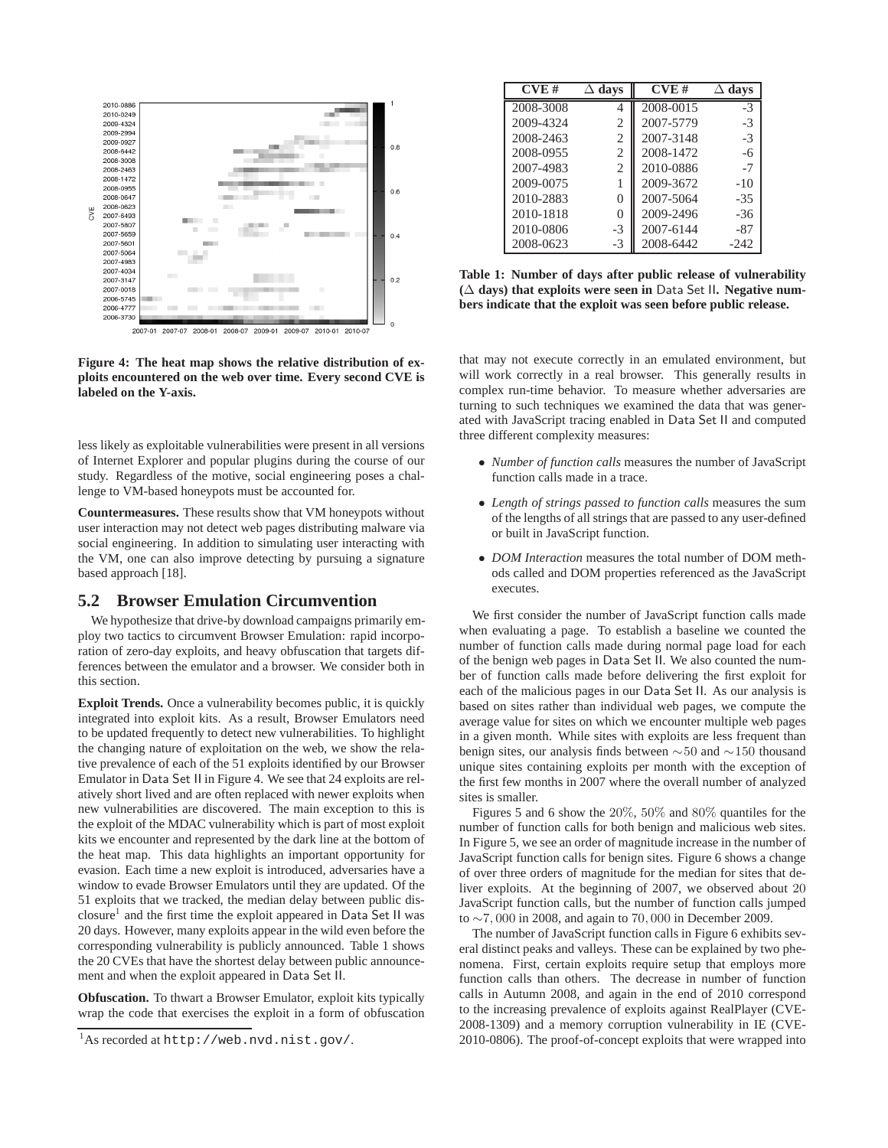

**Figure 4: The heat map shows the relative distribution of exploits encountered on the web over time. Every second CVE is labeled on the Y-axis.**

less likely as exploitable vulnerabilities were present in all versions of Internet Explorer and popular plugins during the course of our study. Regardless of the motive, social engineering poses a challenge to VM-based honeypots must be accounted for.

**Countermeasures.** These results show that VM honeypots without user interaction may not detect web pages distributing malware via social engineering. In addition to simulating user interacting with the VM, one can also improve detecting by pursuing a signature based approach [18].

#### **5.2 Browser Emulation Circumvention**

We hypothesize that drive-by download campaigns primarily employ two tactics to circumvent Browser Emulation: rapid incorporation of zero-day exploits, and heavy obfuscation that targets differences between the emulator and a browser. We consider both in this section.

**Exploit Trends.** Once a vulnerability becomes public, it is quickly integrated into exploit kits. As a result, Browser Emulators need to be updated frequently to detect new vulnerabilities. To highlight the changing nature of exploitation on the web, we show the relative prevalence of each of the 51 exploits identified by our Browser Emulator in Data Set II in Figure 4. We see that 24 exploits are relatively short lived and are often replaced with newer exploits when new vulnerabilities are discovered. The main exception to this is the exploit of the MDAC vulnerability which is part of most exploit kits we encounter and represented by the dark line at the bottom of the heat map. This data highlights an important opportunity for evasion. Each time a new exploit is introduced, adversaries have a window to evade Browser Emulators until they are updated. Of the 51 exploits that we tracked, the median delay between public disclosure<sup>1</sup> and the first time the exploit appeared in Data Set II was 20 days. However, many exploits appear in the wild even before the corresponding vulnerability is publicly announced. Table 1 shows the 20 CVEs that have the shortest delay between public announcement and when the exploit appeared in Data Set II.

**Obfuscation.** To thwart a Browser Emulator, exploit kits typically wrap the code that exercises the exploit in a form of obfuscation

| CVE#      | $\Delta$ davs  | CVE#      | $\Delta$ davs |
|-----------|----------------|-----------|---------------|
| 2008-3008 |                | 2008-0015 | $-3$          |
| 2009-4324 | 2              | 2007-5779 | $-3$          |
| 2008-2463 | 2              | 2007-3148 | $-3$          |
| 2008-0955 | $\overline{c}$ | 2008-1472 | $-6$          |
| 2007-4983 | $\overline{c}$ | 2010-0886 | $-7$          |
| 2009-0075 |                | 2009-3672 | $-10$         |
| 2010-2883 | 0              | 2007-5064 | $-35$         |
| 2010-1818 | 0              | 2009-2496 | $-36$         |
| 2010-0806 | $-3$           | 2007-6144 | -87           |
| 2008-0623 | $-3$           | 2008-6442 | $-242$        |

**Table 1: Number of days after public release of vulnerability (**∆ **days) that exploits were seen in** Data Set II**. Negative numbers indicate that the exploit was seen before public release.**

that may not execute correctly in an emulated environment, but will work correctly in a real browser. This generally results in complex run-time behavior. To measure whether adversaries are turning to such techniques we examined the data that was generated with JavaScript tracing enabled in Data Set II and computed three different complexity measures:

- *Number of function calls* measures the number of JavaScript function calls made in a trace.
- *Length of strings passed to function calls* measures the sum of the lengths of all strings that are passed to any user-defined or built in JavaScript function.
- *DOM Interaction* measures the total number of DOM methods called and DOM properties referenced as the JavaScript executes.

We first consider the number of JavaScript function calls made when evaluating a page. To establish a baseline we counted the number of function calls made during normal page load for each of the benign web pages in Data Set II. We also counted the number of function calls made before delivering the first exploit for each of the malicious pages in our Data Set II. As our analysis is based on sites rather than individual web pages, we compute the average value for sites on which we encounter multiple web pages in a given month. While sites with exploits are less frequent than benign sites, our analysis finds between ∼50 and ∼150 thousand unique sites containing exploits per month with the exception of the first few months in 2007 where the overall number of analyzed sites is smaller.

Figures 5 and 6 show the 20%, 50% and 80% quantiles for the number of function calls for both benign and malicious web sites. In Figure 5, we see an order of magnitude increase in the number of JavaScript function calls for benign sites. Figure 6 shows a change of over three orders of magnitude for the median for sites that deliver exploits. At the beginning of 2007, we observed about 20 JavaScript function calls, but the number of function calls jumped to <sup>∼</sup>7, <sup>000</sup> in 2008, and again to <sup>70</sup>, <sup>000</sup> in December 2009.

The number of JavaScript function calls in Figure 6 exhibits several distinct peaks and valleys. These can be explained by two phenomena. First, certain exploits require setup that employs more function calls than others. The decrease in number of function calls in Autumn 2008, and again in the end of 2010 correspond to the increasing prevalence of exploits against RealPlayer (CVE-2008-1309) and a memory corruption vulnerability in IE (CVE-2010-0806). The proof-of-concept exploits that were wrapped into

<sup>1</sup>As recorded at http://web.nvd.nist.gov/.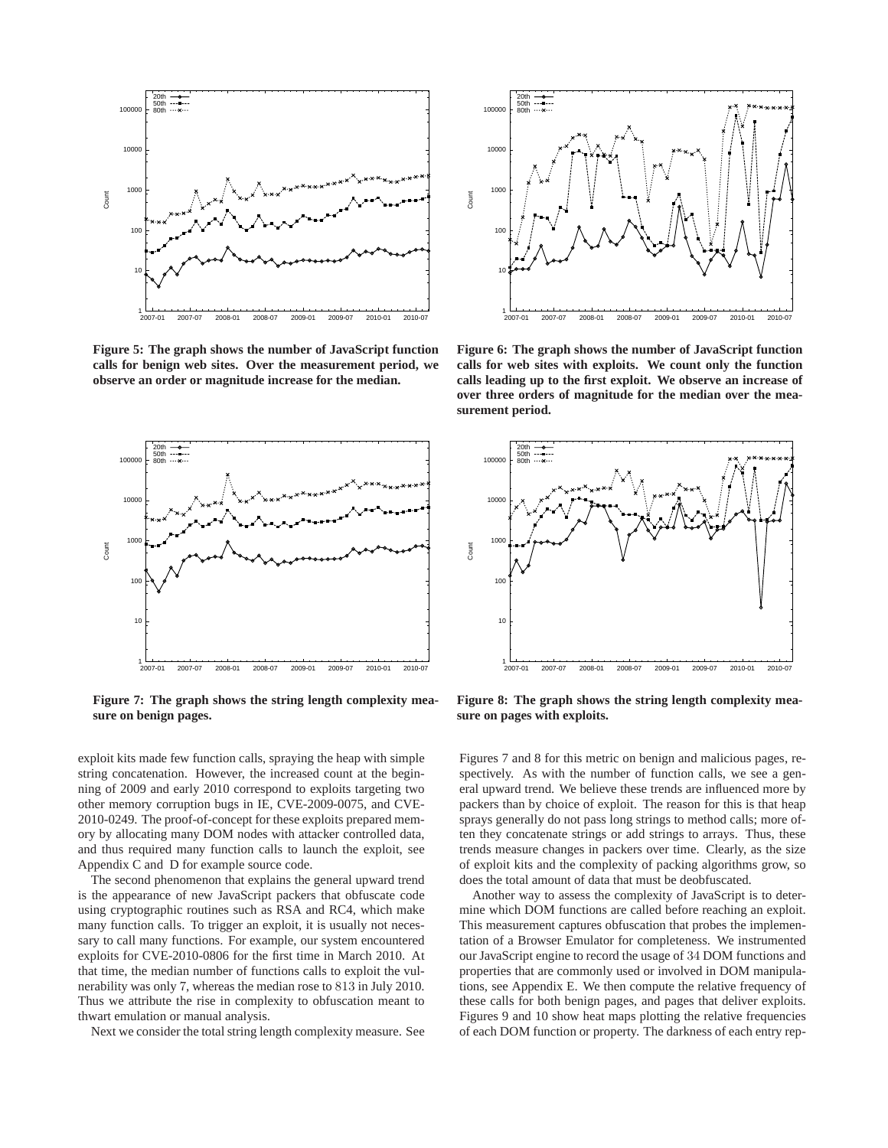

**Figure 5: The graph shows the number of JavaScript function calls for benign web sites. Over the measurement period, we observe an order or magnitude increase for the median.**



**Figure 7: The graph shows the string length complexity measure on benign pages.**

exploit kits made few function calls, spraying the heap with simple string concatenation. However, the increased count at the beginning of 2009 and early 2010 correspond to exploits targeting two other memory corruption bugs in IE, CVE-2009-0075, and CVE-2010-0249. The proof-of-concept for these exploits prepared memory by allocating many DOM nodes with attacker controlled data, and thus required many function calls to launch the exploit, see Appendix C and D for example source code.

The second phenomenon that explains the general upward trend is the appearance of new JavaScript packers that obfuscate code using cryptographic routines such as RSA and RC4, which make many function calls. To trigger an exploit, it is usually not necessary to call many functions. For example, our system encountered exploits for CVE-2010-0806 for the first time in March 2010. At that time, the median number of functions calls to exploit the vulnerability was only 7, whereas the median rose to 813 in July 2010. Thus we attribute the rise in complexity to obfuscation meant to thwart emulation or manual analysis.

Next we consider the total string length complexity measure. See



**Figure 6: The graph shows the number of JavaScript function calls for web sites with exploits. We count only the function calls leading up to the first exploit. We observe an increase of over three orders of magnitude for the median over the measurement period.**



**Figure 8: The graph shows the string length complexity measure on pages with exploits.**

Figures 7 and 8 for this metric on benign and malicious pages, respectively. As with the number of function calls, we see a general upward trend. We believe these trends are influenced more by packers than by choice of exploit. The reason for this is that heap sprays generally do not pass long strings to method calls; more often they concatenate strings or add strings to arrays. Thus, these trends measure changes in packers over time. Clearly, as the size of exploit kits and the complexity of packing algorithms grow, so does the total amount of data that must be deobfuscated.

Another way to assess the complexity of JavaScript is to determine which DOM functions are called before reaching an exploit. This measurement captures obfuscation that probes the implementation of a Browser Emulator for completeness. We instrumented our JavaScript engine to record the usage of 34 DOM functions and properties that are commonly used or involved in DOM manipulations, see Appendix E. We then compute the relative frequency of these calls for both benign pages, and pages that deliver exploits. Figures 9 and 10 show heat maps plotting the relative frequencies of each DOM function or property. The darkness of each entry rep-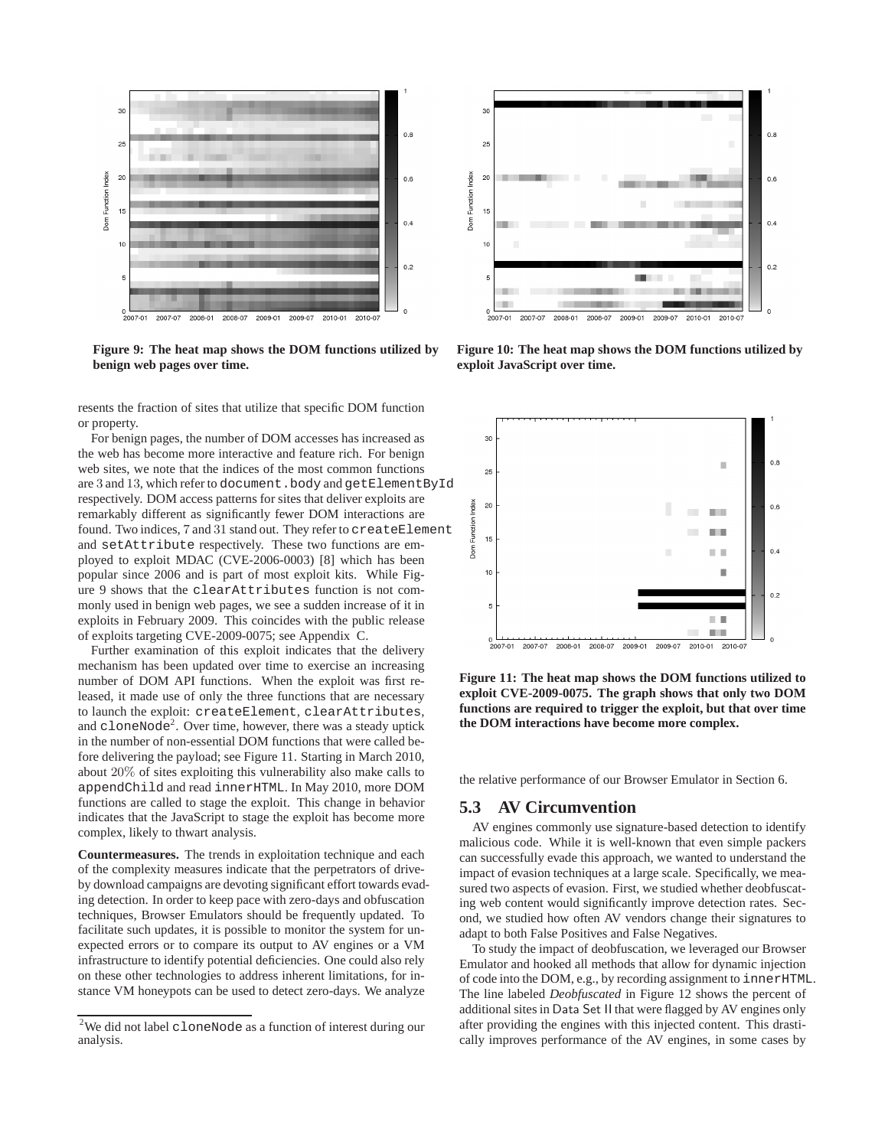

**Figure 9: The heat map shows the DOM functions utilized by benign web pages over time.**

resents the fraction of sites that utilize that specific DOM function or property.

For benign pages, the number of DOM accesses has increased as the web has become more interactive and feature rich. For benign web sites, we note that the indices of the most common functions are 3 and 13, which refer to document. body and getElementById respectively. DOM access patterns for sites that deliver exploits are remarkably different as significantly fewer DOM interactions are found. Two indices, 7 and 31 stand out. They refer to createElement and setAttribute respectively. These two functions are employed to exploit MDAC (CVE-2006-0003) [8] which has been popular since 2006 and is part of most exploit kits. While Figure 9 shows that the clearAttributes function is not commonly used in benign web pages, we see a sudden increase of it in exploits in February 2009. This coincides with the public release of exploits targeting CVE-2009-0075; see Appendix C.

Further examination of this exploit indicates that the delivery mechanism has been updated over time to exercise an increasing number of DOM API functions. When the exploit was first released, it made use of only the three functions that are necessary to launch the exploit: createElement, clearAttributes, and  $c$ loneNode<sup>2</sup>. Over time, however, there was a steady uptick in the number of non-essential DOM functions that were called before delivering the payload; see Figure 11. Starting in March 2010, about 20% of sites exploiting this vulnerability also make calls to appendChild and read innerHTML. In May 2010, more DOM functions are called to stage the exploit. This change in behavior indicates that the JavaScript to stage the exploit has become more complex, likely to thwart analysis.

**Countermeasures.** The trends in exploitation technique and each of the complexity measures indicate that the perpetrators of driveby download campaigns are devoting significant effort towards evading detection. In order to keep pace with zero-days and obfuscation techniques, Browser Emulators should be frequently updated. To facilitate such updates, it is possible to monitor the system for unexpected errors or to compare its output to AV engines or a VM infrastructure to identify potential deficiencies. One could also rely on these other technologies to address inherent limitations, for instance VM honeypots can be used to detect zero-days. We analyze



**Figure 10: The heat map shows the DOM functions utilized by exploit JavaScript over time.**



**Figure 11: The heat map shows the DOM functions utilized to exploit CVE-2009-0075. The graph shows that only two DOM functions are required to trigger the exploit, but that over time the DOM interactions have become more complex.**

the relative performance of our Browser Emulator in Section 6.

#### **5.3 AV Circumvention**

AV engines commonly use signature-based detection to identify malicious code. While it is well-known that even simple packers can successfully evade this approach, we wanted to understand the impact of evasion techniques at a large scale. Specifically, we measured two aspects of evasion. First, we studied whether deobfuscating web content would significantly improve detection rates. Second, we studied how often AV vendors change their signatures to adapt to both False Positives and False Negatives.

To study the impact of deobfuscation, we leveraged our Browser Emulator and hooked all methods that allow for dynamic injection of code into the DOM, e.g., by recording assignment to innerHTML. The line labeled *Deobfuscated* in Figure 12 shows the percent of additional sites in Data Set II that were flagged by AV engines only after providing the engines with this injected content. This drastically improves performance of the AV engines, in some cases by

<sup>2</sup>We did not label cloneNode as a function of interest during our analysis.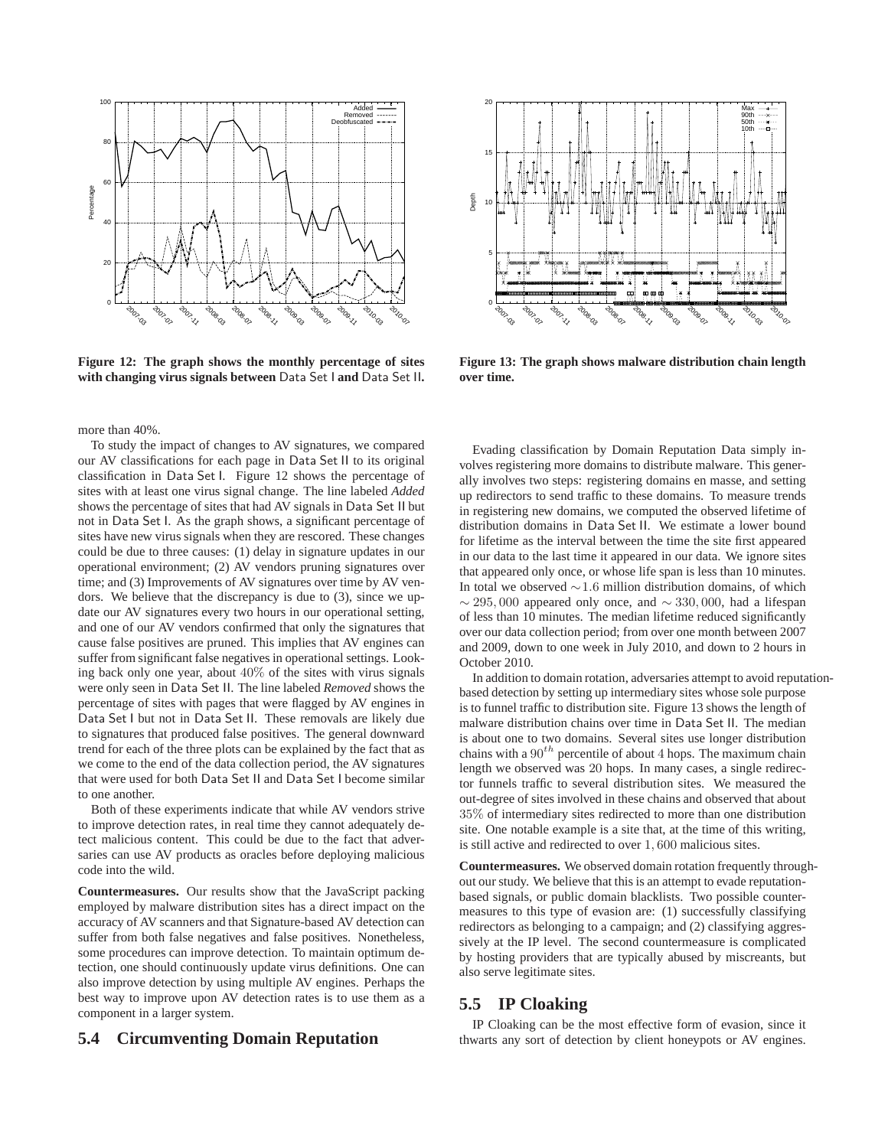

**Figure 12: The graph shows the monthly percentage of sites with changing virus signals between** Data Set I **and** Data Set II**.**

more than 40%.

To study the impact of changes to AV signatures, we compared our AV classifications for each page in Data Set II to its original classification in Data Set I. Figure 12 shows the percentage of sites with at least one virus signal change. The line labeled *Added* shows the percentage of sites that had AV signals in Data Set II but not in Data Set I. As the graph shows, a significant percentage of sites have new virus signals when they are rescored. These changes could be due to three causes: (1) delay in signature updates in our operational environment; (2) AV vendors pruning signatures over time; and (3) Improvements of AV signatures over time by AV vendors. We believe that the discrepancy is due to (3), since we update our AV signatures every two hours in our operational setting, and one of our AV vendors confirmed that only the signatures that cause false positives are pruned. This implies that AV engines can suffer from significant false negatives in operational settings. Looking back only one year, about 40% of the sites with virus signals were only seen in Data Set II. The line labeled *Removed* shows the percentage of sites with pages that were flagged by AV engines in Data Set I but not in Data Set II. These removals are likely due to signatures that produced false positives. The general downward trend for each of the three plots can be explained by the fact that as we come to the end of the data collection period, the AV signatures that were used for both Data Set II and Data Set I become similar to one another.

Both of these experiments indicate that while AV vendors strive to improve detection rates, in real time they cannot adequately detect malicious content. This could be due to the fact that adversaries can use AV products as oracles before deploying malicious code into the wild.

**Countermeasures.** Our results show that the JavaScript packing employed by malware distribution sites has a direct impact on the accuracy of AV scanners and that Signature-based AV detection can suffer from both false negatives and false positives. Nonetheless, some procedures can improve detection. To maintain optimum detection, one should continuously update virus definitions. One can also improve detection by using multiple AV engines. Perhaps the best way to improve upon AV detection rates is to use them as a component in a larger system.

## **5.4 Circumventing Domain Reputation**



**Figure 13: The graph shows malware distribution chain length over time.**

Evading classification by Domain Reputation Data simply involves registering more domains to distribute malware. This generally involves two steps: registering domains en masse, and setting up redirectors to send traffic to these domains. To measure trends in registering new domains, we computed the observed lifetime of distribution domains in Data Set II. We estimate a lower bound for lifetime as the interval between the time the site first appeared in our data to the last time it appeared in our data. We ignore sites that appeared only once, or whose life span is less than 10 minutes. In total we observed <sup>∼</sup>1.<sup>6</sup> million distribution domains, of which  $\sim$  295, 000 appeared only once, and  $\sim$  330, 000, had a lifespan of less than 10 minutes. The median lifetime reduced significantly over our data collection period; from over one month between 2007 and 2009, down to one week in July 2010, and down to 2 hours in October 2010.

In addition to domain rotation, adversaries attempt to avoid reputationbased detection by setting up intermediary sites whose sole purpose is to funnel traffic to distribution site. Figure 13 shows the length of malware distribution chains over time in Data Set II. The median is about one to two domains. Several sites use longer distribution chains with a  $90<sup>th</sup>$  percentile of about 4 hops. The maximum chain length we observed was 20 hops. In many cases, a single redirector funnels traffic to several distribution sites. We measured the out-degree of sites involved in these chains and observed that about 35% of intermediary sites redirected to more than one distribution site. One notable example is a site that, at the time of this writing, is still active and redirected to over <sup>1</sup>, <sup>600</sup> malicious sites.

**Countermeasures.** We observed domain rotation frequently throughout our study. We believe that this is an attempt to evade reputationbased signals, or public domain blacklists. Two possible countermeasures to this type of evasion are: (1) successfully classifying redirectors as belonging to a campaign; and (2) classifying aggressively at the IP level. The second countermeasure is complicated by hosting providers that are typically abused by miscreants, but also serve legitimate sites.

## **5.5 IP Cloaking**

IP Cloaking can be the most effective form of evasion, since it thwarts any sort of detection by client honeypots or AV engines.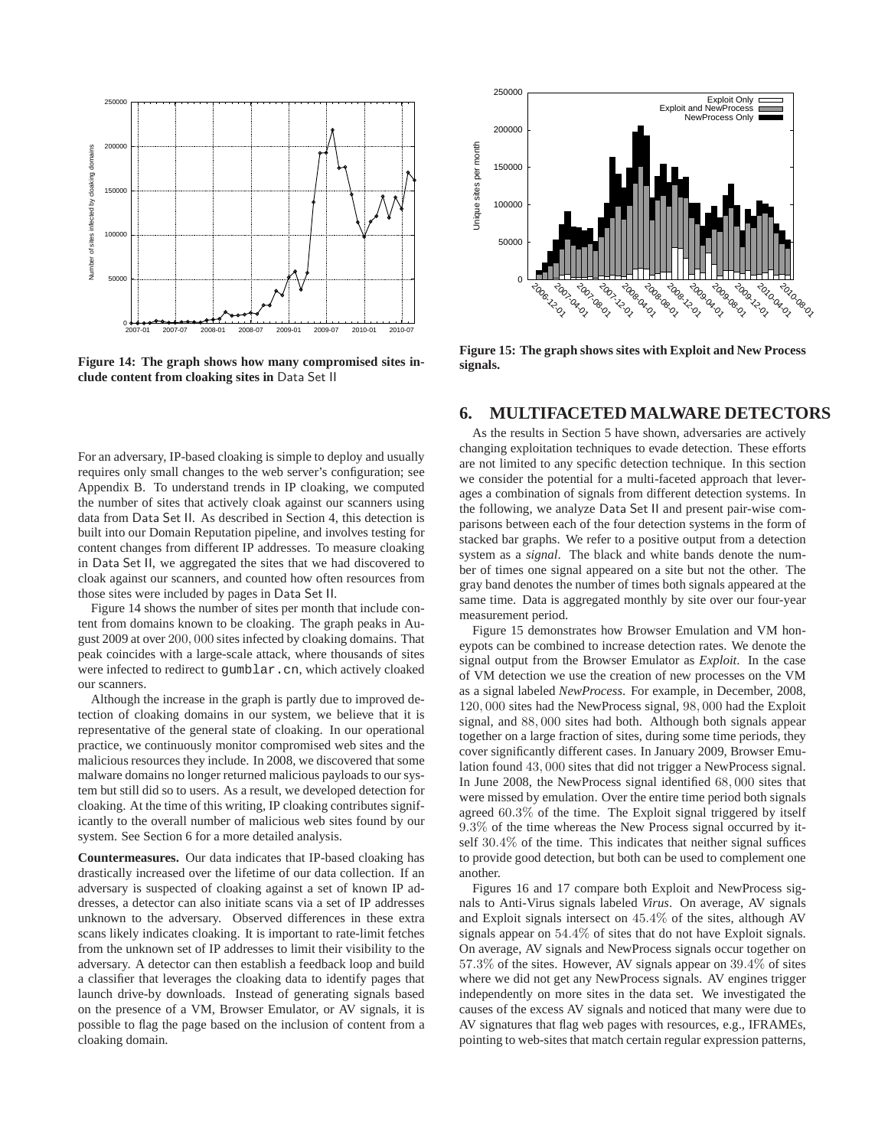

**Figure 14: The graph shows how many compromised sites include content from cloaking sites in** Data Set II

For an adversary, IP-based cloaking is simple to deploy and usually requires only small changes to the web server's configuration; see Appendix B. To understand trends in IP cloaking, we computed the number of sites that actively cloak against our scanners using data from Data Set II. As described in Section 4, this detection is built into our Domain Reputation pipeline, and involves testing for content changes from different IP addresses. To measure cloaking in Data Set II, we aggregated the sites that we had discovered to cloak against our scanners, and counted how often resources from those sites were included by pages in Data Set II.

Figure 14 shows the number of sites per month that include content from domains known to be cloaking. The graph peaks in August 2009 at over <sup>200</sup>, <sup>000</sup> sites infected by cloaking domains. That peak coincides with a large-scale attack, where thousands of sites were infected to redirect to gumblar.cn, which actively cloaked our scanners.

Although the increase in the graph is partly due to improved detection of cloaking domains in our system, we believe that it is representative of the general state of cloaking. In our operational practice, we continuously monitor compromised web sites and the malicious resources they include. In 2008, we discovered that some malware domains no longer returned malicious payloads to our system but still did so to users. As a result, we developed detection for cloaking. At the time of this writing, IP cloaking contributes significantly to the overall number of malicious web sites found by our system. See Section 6 for a more detailed analysis.

**Countermeasures.** Our data indicates that IP-based cloaking has drastically increased over the lifetime of our data collection. If an adversary is suspected of cloaking against a set of known IP addresses, a detector can also initiate scans via a set of IP addresses unknown to the adversary. Observed differences in these extra scans likely indicates cloaking. It is important to rate-limit fetches from the unknown set of IP addresses to limit their visibility to the adversary. A detector can then establish a feedback loop and build a classifier that leverages the cloaking data to identify pages that launch drive-by downloads. Instead of generating signals based on the presence of a VM, Browser Emulator, or AV signals, it is possible to flag the page based on the inclusion of content from a cloaking domain.



**Figure 15: The graph shows sites with Exploit and New Process signals.**

#### **6. MULTIFACETED MALWARE DETECTORS**

As the results in Section 5 have shown, adversaries are actively changing exploitation techniques to evade detection. These efforts are not limited to any specific detection technique. In this section we consider the potential for a multi-faceted approach that leverages a combination of signals from different detection systems. In the following, we analyze Data Set II and present pair-wise comparisons between each of the four detection systems in the form of stacked bar graphs. We refer to a positive output from a detection system as a *signal*. The black and white bands denote the number of times one signal appeared on a site but not the other. The gray band denotes the number of times both signals appeared at the same time. Data is aggregated monthly by site over our four-year measurement period.

Figure 15 demonstrates how Browser Emulation and VM honeypots can be combined to increase detection rates. We denote the signal output from the Browser Emulator as *Exploit*. In the case of VM detection we use the creation of new processes on the VM as a signal labeled *NewProcess*. For example, in December, 2008, <sup>120</sup>, <sup>000</sup> sites had the NewProcess signal, <sup>98</sup>, <sup>000</sup> had the Exploit signal, and <sup>88</sup>, <sup>000</sup> sites had both. Although both signals appear together on a large fraction of sites, during some time periods, they cover significantly different cases. In January 2009, Browser Emulation found <sup>43</sup>, <sup>000</sup> sites that did not trigger a NewProcess signal. In June 2008, the NewProcess signal identified <sup>68</sup>, <sup>000</sup> sites that were missed by emulation. Over the entire time period both signals agreed <sup>60</sup>.3% of the time. The Exploit signal triggered by itself <sup>9</sup>.3% of the time whereas the New Process signal occurred by itself <sup>30</sup>.4% of the time. This indicates that neither signal suffices to provide good detection, but both can be used to complement one another.

Figures 16 and 17 compare both Exploit and NewProcess signals to Anti-Virus signals labeled *Virus*. On average, AV signals and Exploit signals intersect on <sup>45</sup>.4% of the sites, although AV signals appear on <sup>54</sup>.4% of sites that do not have Exploit signals. On average, AV signals and NewProcess signals occur together on <sup>57</sup>.3% of the sites. However, AV signals appear on <sup>39</sup>.4% of sites where we did not get any NewProcess signals. AV engines trigger independently on more sites in the data set. We investigated the causes of the excess AV signals and noticed that many were due to AV signatures that flag web pages with resources, e.g., IFRAMEs, pointing to web-sites that match certain regular expression patterns,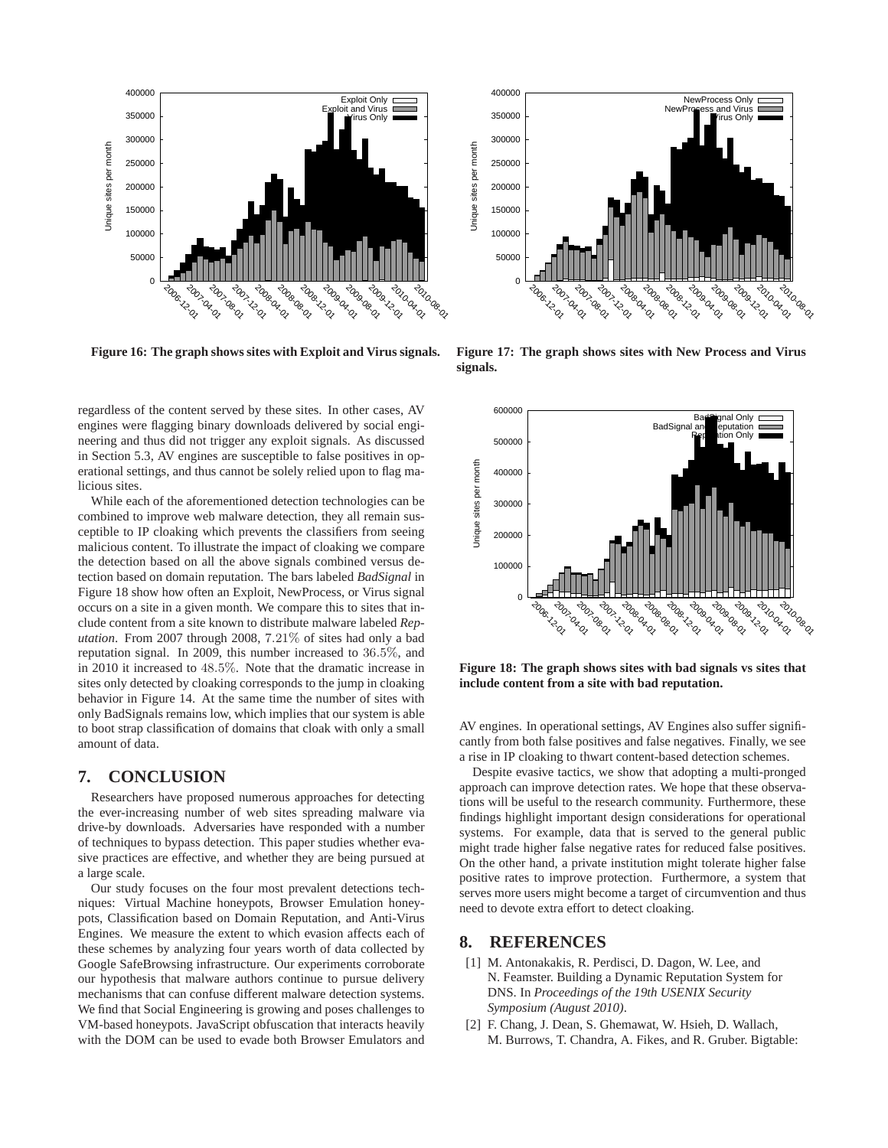

**Figure 16: The graph shows sites with Exploit and Virus signals.**

regardless of the content served by these sites. In other cases, AV engines were flagging binary downloads delivered by social engineering and thus did not trigger any exploit signals. As discussed in Section 5.3, AV engines are susceptible to false positives in operational settings, and thus cannot be solely relied upon to flag malicious sites.

While each of the aforementioned detection technologies can be combined to improve web malware detection, they all remain susceptible to IP cloaking which prevents the classifiers from seeing malicious content. To illustrate the impact of cloaking we compare the detection based on all the above signals combined versus detection based on domain reputation. The bars labeled *BadSignal* in Figure 18 show how often an Exploit, NewProcess, or Virus signal occurs on a site in a given month. We compare this to sites that include content from a site known to distribute malware labeled *Reputation*. From 2007 through 2008, <sup>7</sup>.21% of sites had only a bad reputation signal. In 2009, this number increased to <sup>36</sup>.5%, and in 2010 it increased to <sup>48</sup>.5%. Note that the dramatic increase in sites only detected by cloaking corresponds to the jump in cloaking behavior in Figure 14. At the same time the number of sites with only BadSignals remains low, which implies that our system is able to boot strap classification of domains that cloak with only a small amount of data.

## **7. CONCLUSION**

Researchers have proposed numerous approaches for detecting the ever-increasing number of web sites spreading malware via drive-by downloads. Adversaries have responded with a number of techniques to bypass detection. This paper studies whether evasive practices are effective, and whether they are being pursued at a large scale.

Our study focuses on the four most prevalent detections techniques: Virtual Machine honeypots, Browser Emulation honeypots, Classification based on Domain Reputation, and Anti-Virus Engines. We measure the extent to which evasion affects each of these schemes by analyzing four years worth of data collected by Google SafeBrowsing infrastructure. Our experiments corroborate our hypothesis that malware authors continue to pursue delivery mechanisms that can confuse different malware detection systems. We find that Social Engineering is growing and poses challenges to VM-based honeypots. JavaScript obfuscation that interacts heavily with the DOM can be used to evade both Browser Emulators and



**Figure 17: The graph shows sites with New Process and Virus signals.**



**Figure 18: The graph shows sites with bad signals vs sites that include content from a site with bad reputation.**

AV engines. In operational settings, AV Engines also suffer significantly from both false positives and false negatives. Finally, we see a rise in IP cloaking to thwart content-based detection schemes.

Despite evasive tactics, we show that adopting a multi-pronged approach can improve detection rates. We hope that these observations will be useful to the research community. Furthermore, these findings highlight important design considerations for operational systems. For example, data that is served to the general public might trade higher false negative rates for reduced false positives. On the other hand, a private institution might tolerate higher false positive rates to improve protection. Furthermore, a system that serves more users might become a target of circumvention and thus need to devote extra effort to detect cloaking.

## **8. REFERENCES**

- [1] M. Antonakakis, R. Perdisci, D. Dagon, W. Lee, and N. Feamster. Building a Dynamic Reputation System for DNS. In *Proceedings of the 19th USENIX Security Symposium (August 2010)*.
- [2] F. Chang, J. Dean, S. Ghemawat, W. Hsieh, D. Wallach, M. Burrows, T. Chandra, A. Fikes, and R. Gruber. Bigtable: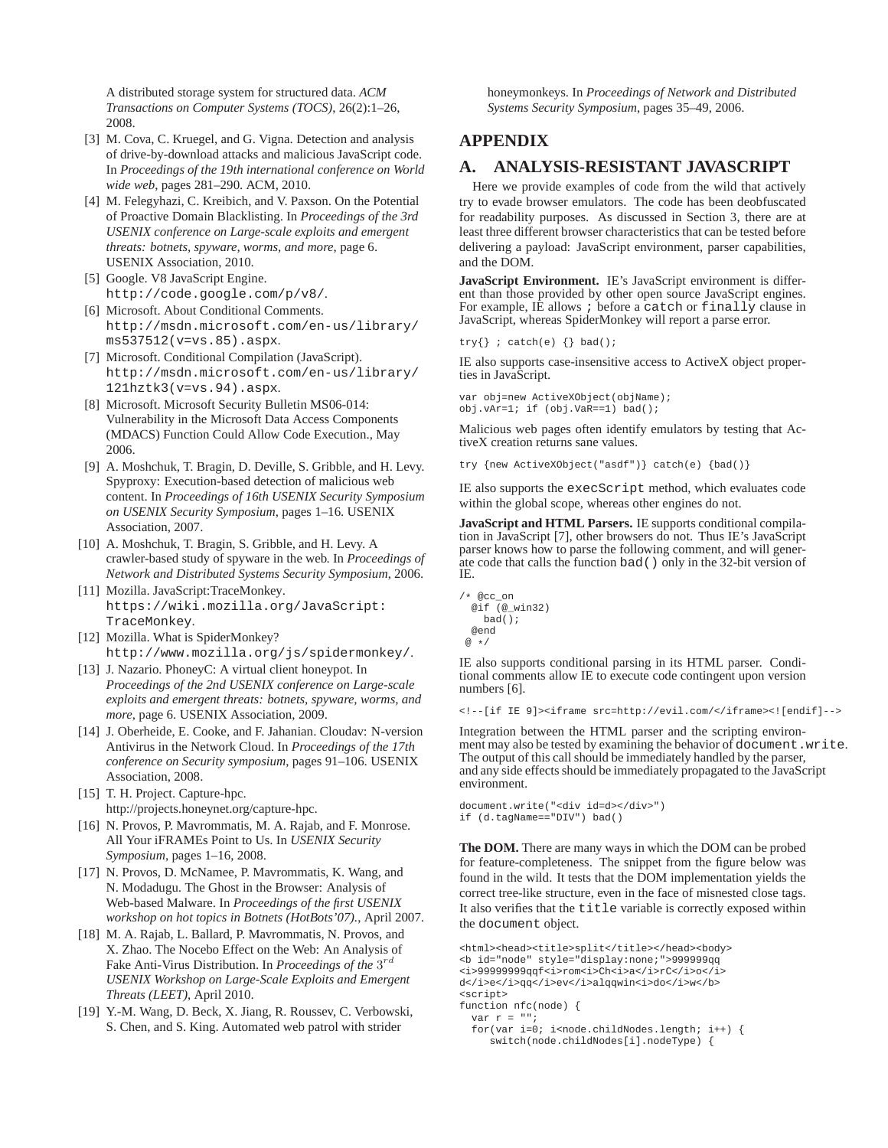A distributed storage system for structured data. *ACM Transactions on Computer Systems (TOCS)*, 26(2):1–26, 2008.

- [3] M. Cova, C. Kruegel, and G. Vigna. Detection and analysis of drive-by-download attacks and malicious JavaScript code. In *Proceedings of the 19th international conference on World wide web*, pages 281–290. ACM, 2010.
- [4] M. Felegyhazi, C. Kreibich, and V. Paxson. On the Potential of Proactive Domain Blacklisting. In *Proceedings of the 3rd USENIX conference on Large-scale exploits and emergent threats: botnets, spyware, worms, and more*, page 6. USENIX Association, 2010.
- [5] Google. V8 JavaScript Engine. http://code.google.com/p/v8/.
- [6] Microsoft. About Conditional Comments. http://msdn.microsoft.com/en-us/library/ ms537512(v=vs.85).aspx.
- [7] Microsoft. Conditional Compilation (JavaScript). http://msdn.microsoft.com/en-us/library/ 121hztk3(v=vs.94).aspx.
- [8] Microsoft. Microsoft Security Bulletin MS06-014: Vulnerability in the Microsoft Data Access Components (MDACS) Function Could Allow Code Execution., May 2006.
- [9] A. Moshchuk, T. Bragin, D. Deville, S. Gribble, and H. Levy. Spyproxy: Execution-based detection of malicious web content. In *Proceedings of 16th USENIX Security Symposium on USENIX Security Symposium*, pages 1–16. USENIX Association, 2007.
- [10] A. Moshchuk, T. Bragin, S. Gribble, and H. Levy. A crawler-based study of spyware in the web. In *Proceedings of Network and Distributed Systems Security Symposium*, 2006.
- [11] Mozilla. JavaScript:TraceMonkey. https://wiki.mozilla.org/JavaScript: TraceMonkey.
- [12] Mozilla. What is SpiderMonkey? http://www.mozilla.org/js/spidermonkey/.
- [13] J. Nazario. PhoneyC: A virtual client honeypot. In *Proceedings of the 2nd USENIX conference on Large-scale exploits and emergent threats: botnets, spyware, worms, and more*, page 6. USENIX Association, 2009.
- [14] J. Oberheide, E. Cooke, and F. Jahanian. Cloudav: N-version Antivirus in the Network Cloud. In *Proceedings of the 17th conference on Security symposium*, pages 91–106. USENIX Association, 2008.
- [15] T. H. Project. Capture-hpc. http://projects.honeynet.org/capture-hpc.
- [16] N. Provos, P. Mavrommatis, M. A. Rajab, and F. Monrose. All Your iFRAMEs Point to Us. In *USENIX Security Symposium*, pages 1–16, 2008.
- [17] N. Provos, D. McNamee, P. Mavrommatis, K. Wang, and N. Modadugu. The Ghost in the Browser: Analysis of Web-based Malware. In *Proceedings of the first USENIX workshop on hot topics in Botnets (HotBots'07).*, April 2007.
- [18] M. A. Rajab, L. Ballard, P. Mavrommatis, N. Provos, and X. Zhao. The Nocebo Effect on the Web: An Analysis of Fake Anti-Virus Distribution. In *Proceedings of the* 3 rd *USENIX Workshop on Large-Scale Exploits and Emergent Threats (LEET)*, April 2010.
- [19] Y.-M. Wang, D. Beck, X. Jiang, R. Roussev, C. Verbowski, S. Chen, and S. King. Automated web patrol with strider

honeymonkeys. In *Proceedings of Network and Distributed Systems Security Symposium*, pages 35–49, 2006.

# **APPENDIX**

# **A. ANALYSIS-RESISTANT JAVASCRIPT**

Here we provide examples of code from the wild that actively try to evade browser emulators. The code has been deobfuscated for readability purposes. As discussed in Section 3, there are at least three different browser characteristics that can be tested before delivering a payload: JavaScript environment, parser capabilities, and the DOM.

**JavaScript Environment.** IE's JavaScript environment is different than those provided by other open source JavaScript engines. For example, IE allows ; before a catch or finally clause in JavaScript, whereas SpiderMonkey will report a parse error.

```
try{}'; catch(e) {}' bad();
```
IE also supports case-insensitive access to ActiveX object properties in JavaScript.

var obj=new ActiveXObject(objName); obj.vAr=1; if (obj.VaR==1) bad();

Malicious web pages often identify emulators by testing that ActiveX creation returns sane values.

try {new ActiveXObject("asdf")} catch(e) {bad()}

IE also supports the execScript method, which evaluates code within the global scope, whereas other engines do not.

**JavaScript and HTML Parsers.** IE supports conditional compilation in JavaScript [7], other browsers do not. Thus IE's JavaScript parser knows how to parse the following comment, and will generate code that calls the function bad() only in the 32-bit version of IE.

```
/* @cc_on
 @if (@_win32)
   bad();
 @end
 @ */
```
IE also supports conditional parsing in its HTML parser. Conditional comments allow IE to execute code contingent upon version numbers [6].

<!--[if IE 9]><iframe src=http://evil.com/</iframe><![endif]-->

Integration between the HTML parser and the scripting environment may also be tested by examining the behavior of document.write. The output of this call should be immediately handled by the parser, and any side effects should be immediately propagated to the JavaScript environment.

```
document.write("<div id=d></div>")
if (d.tagName=="DIV") bad()
```
**The DOM.** There are many ways in which the DOM can be probed for feature-completeness. The snippet from the figure below was found in the wild. It tests that the DOM implementation yields the correct tree-like structure, even in the face of misnested close tags. It also verifies that the title variable is correctly exposed within the document object.

```
<html><head><title>split</title></head><body>
<b id="node" style="display:none;">999999qq
<i>99999999qqf<i>rom<i>Ch<i>a</i>rC</i>o</i>
d</i>e</i>qq</i>ev</i>alqqwin<i>do</i>w</b>
<script>
function nfc(node) {
  var r = "for(var i=0; i<sub>conde</sub>.childNodes.length; i++) {
     switch(node.childNodes[i].nodeType) {
```